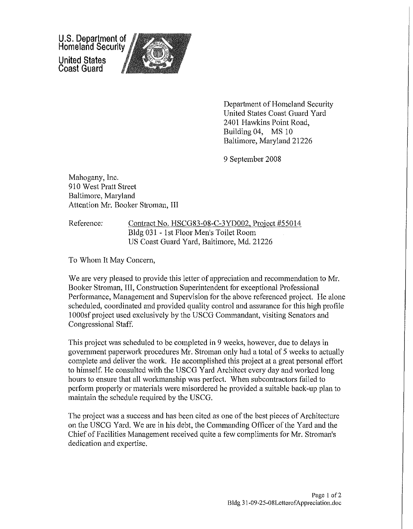U.S. Department of Homeland Security United States Coast Guard



Department of Homeland Security United States Coast Guard Yard 2401 Hawkins Point Road, Building 04, MS 10 Baltimore, Maryland 21226

9 September 2008

Mahogany, Inc. 910 West Pratt Street Baltimore, Maryland Attention Mr. Booker Stroman, III

Reference: Contract No. HSCG83-08-C-3YD002, Project #55014 Bldg 031 - I st Floor Men's Toilet Room US Coast Guard Yard, Baltimore, Md. 21226

To Whom It May Concern,

We are very pleased to provide this letter of appreciation and recommendation to Mr. Booker Stroman, III, Construction Superintendent for exceptional Professional Performance, Management and Supervision for the above referenced project. He alone scheduled, coordinated and provided quality control and assurance for this high profile 1 OOOsf project used exclusively by the USCG Commandant, visiting Senators and Congressional Staff.

This project was scheduled to be completed in 9 weeks, however, due to delays in government paperwork procedures Mr. Stroman only had a total of 5 weeks to actually complete and deliver the work. He accomplished this project at a great personal effort to himself. He consulted with the USCG Yard Architect every day and worked long hours to ensure that all workmanship was perfect. When subcontractors failed to perform properly or materials were misordered he provided a suitable back-up plan to maintain the schedule required by the USCG.

The project was a success and has been cited as one of the best pieces of Architecture on the USCG Yard. We are in his debt, the Commanding Officer of the Yard and the Chief of Facilities Management received quite a few compliments for Mr. Stroman's dedication and expertise.